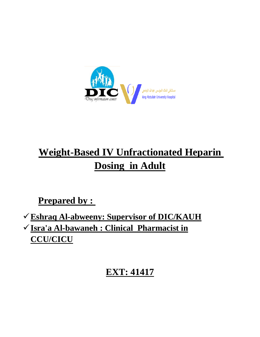

# **Weight-Based IV Unfractionated Heparin Dosing in Adult**

**Prepared by :** 

**Eshraq Al-abweeny: Supervisor of DIC/KAUH Isra'a Al-bawaneh : Clinical Pharmacist in CCU/CICU**

# **EXT: 41417**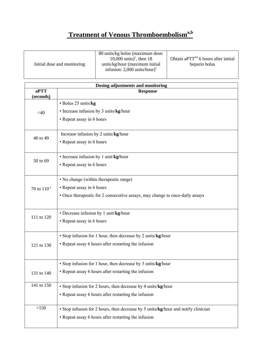## **Treatment of Venous Thromboembolism**<sup>a,b</sup>

| 80 units/kg bolus (maximum dose:                                                                                                                                                                                    |
|---------------------------------------------------------------------------------------------------------------------------------------------------------------------------------------------------------------------|
| Obtain a $PTT^{d,e}$ 6 hours after initial<br>10,000 units) <sup>c</sup> , then 18<br>units/kg/hour (maximum initial)<br>Initial dose and monitoring<br>heparin bolus<br>infusion: $2,000$ units/hour) <sup>c</sup> |

| Dosing adjustments and monitoring |                                                                                    |  |
|-----------------------------------|------------------------------------------------------------------------------------|--|
| aPTT<br>(seconds)                 | <b>Response</b>                                                                    |  |
|                                   | · Bolus 25 units/kg                                                                |  |
| $<$ 40                            | • Increase infusion by 3 units/kg/hour                                             |  |
|                                   | • Repeat assay in 6 hours                                                          |  |
|                                   |                                                                                    |  |
| 40 to 49                          | Increase infusion by 2 units/kg/hour                                               |  |
|                                   | • Repeat assay in 6 hours                                                          |  |
|                                   |                                                                                    |  |
| 50 to 69                          | • Increase infusion by 1 unit/kg/hour                                              |  |
|                                   | • Repeat assay in 6 hours                                                          |  |
|                                   |                                                                                    |  |
| 70 to $110e$                      | • No change (within therapeutic range)                                             |  |
|                                   | • Repeat assay in 6 hours                                                          |  |
|                                   | • Once therapeutic for 2 consecutive assays, may change to once-daily assays       |  |
|                                   |                                                                                    |  |
| 111 to 120                        | • Decrease infusion by 1 unit/kg/hour                                              |  |
|                                   | • Repeat assay in 6 hours                                                          |  |
|                                   |                                                                                    |  |
|                                   | • Stop infusion for 1 hour, then decrease by 2 units/kg/hour                       |  |
| 121 to 130                        | • Repeat assay 6 hours after restarting the infusion                               |  |
|                                   |                                                                                    |  |
|                                   | • Stop infusion for 1 hour, then decrease by 3 units/kg/hour                       |  |
| 131 to 140                        | • Repeat assay 6 hours after restarting the infusion                               |  |
|                                   |                                                                                    |  |
| 141 to 150                        | • Stop infusion for 2 hours, then decrease by 4 units/kg/hour                      |  |
|                                   | • Repeat assay 6 hours after restarting the infusion                               |  |
| >150                              | • Stop infusion for 2 hours, then decrease by 5 units/kg/hour and notify clinician |  |
|                                   | • Repeat assay 6 hours after restarting the infusion                               |  |
|                                   |                                                                                    |  |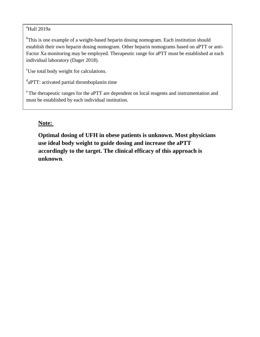#### $a$ Hull 2019a

<sup>b</sup>This is one example of a weight-based heparin dosing nomogram. Each institution should establish their own heparin dosing nomogram. Other heparin nomograms based on aPTT or anti-Factor Xa monitoring may be employed. Therapeutic range for aPTT must be established at each individual laboratory (Dager 2018).

 $\mathrm{^{c}Use}$  total body weight for calculations.

 $a^d$ aPTT: activated partial thromboplastin time

 $\degree$ The therapeutic ranges for the aPTT are dependent on local reagents and instrumentation and must be established by each individual institution.

#### **Note:**

**Optimal dosing of UFH in obese patients is unknown. Most physicians use ideal body weight to guide dosing and increase the aPTT accordingly to the target. The clinical efficacy of this approach is unknown**.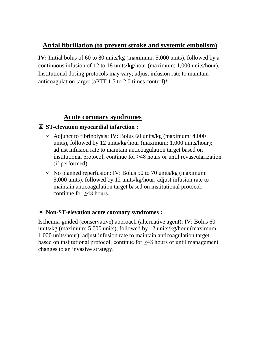### **Atrial fibrillation (to prevent stroke and systemic embolism)**

**IV:** Initial bolus of 60 to 80 units/kg (maximum: 5,000 units), followed by a continuous infusion of 12 to 18 units/**kg**/hour (maximum: 1,000 units/hour). Institutional dosing protocols may vary; adjust infusion rate to maintain anticoagulation target (aPTT 1.5 to 2.0 times control)\*.

### **Acute coronary syndromes**

#### **ST-elevation myocardial infarction :**

- $\checkmark$  Adjunct to fibrinolysis: IV: Bolus 60 units/kg (maximum: 4,000 units), followed by 12 units/kg/hour (maximum: 1,000 units/hour); adjust infusion rate to maintain anticoagulation target based on institutional protocol; continue for ≥48 hours or until revascularization (if performed).
- $\checkmark$  No planned reperfusion: IV: Bolus 50 to 70 units/kg (maximum: 5,000 units), followed by 12 units/kg/hour; adjust infusion rate to maintain anticoagulation target based on institutional protocol; continue for ≥48 hours.

#### **Non-ST-elevation acute coronary syndromes :**

Ischemia-guided (conservative) approach (alternative agent): IV: Bolus 60 units/kg (maximum: 5,000 units), followed by 12 units/kg/hour (maximum: 1,000 units/hour); adjust infusion rate to maintain anticoagulation target based on institutional protocol; continue for ≥48 hours or until management changes to an invasive strategy.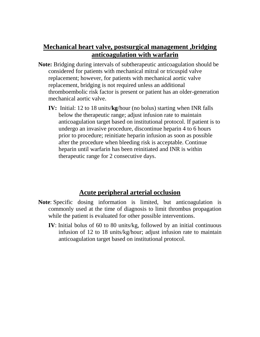### **Mechanical heart valve, postsurgical management ,bridging anticoagulation with warfarin**

- **Note:** Bridging during intervals of subtherapeutic anticoagulation should be considered for patients with mechanical mitral or tricuspid valve replacement; however, for patients with mechanical aortic valve replacement, bridging is not required unless an additional thromboembolic risk factor is present or patient has an older-generation mechanical aortic valve.
	- **IV:** Initial: 12 to 18 units/**kg**/hour (no bolus) starting when INR falls below the therapeutic range; adjust infusion rate to maintain anticoagulation target based on institutional protocol. If patient is to undergo an invasive procedure, discontinue heparin 4 to 6 hours prior to procedure; reinitiate heparin infusion as soon as possible after the procedure when bleeding risk is acceptable. Continue heparin until warfarin has been reinitiated and INR is within therapeutic range for 2 consecutive days.

#### **Acute peripheral arterial occlusion**

- **Note**: Specific dosing information is limited, but anticoagulation is commonly used at the time of diagnosis to limit thrombus propagation while the patient is evaluated for other possible interventions.
	- **IV**: Initial bolus of 60 to 80 units/kg, followed by an initial continuous infusion of 12 to 18 units/kg/hour; adjust infusion rate to maintain anticoagulation target based on institutional protocol.